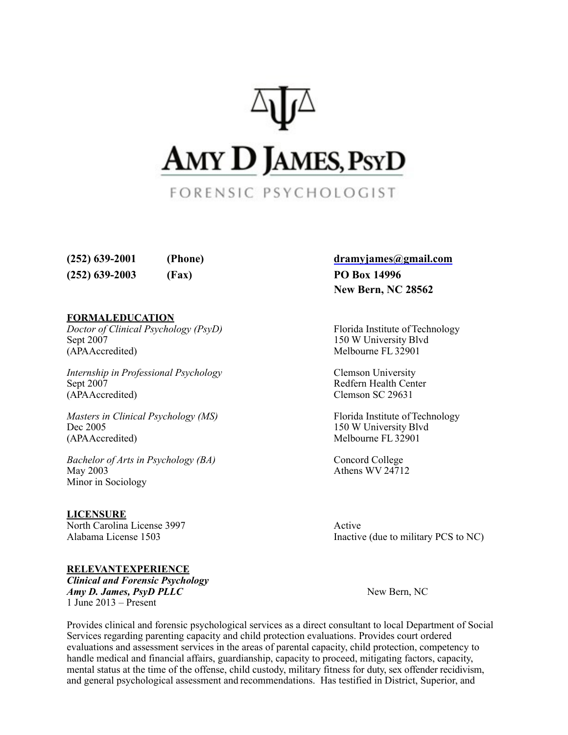

**(252) 639-2001 (Phone) [dramyjames@gmail.com](mailto:dramyjames@gmail.com) (252) 639-2003 (Fax) PO Box 14996**

#### **FORMALEDUCATION**

*Doctor of Clinical Psychology (PsyD)* Florida Institute of Technology Sept 2007 150 W University Blvd (APAAccredited) Melbourne FL 32901

*Internship in Professional Psychology* **Clemson University** Sept 2007 Redfern Health Center (APAAccredited) Clemson SC 29631

*Masters in Clinical Psychology (MS)* Florida Institute of Technology Dec 2005 150 W University Blvd (APAAccredited) Melbourne FL 32901

*Bachelor of Arts in Psychology (BA)* Concord College May  $2003$  Athens WV 24712 Minor in Sociology

**LICENSURE** North Carolina License 3997 Active

**RELEVANTEXPERIENCE** *Clinical and Forensic Psychology Amy D. James, PsyD PLLC* New Bern, NC 1 June 2013 – Present

# **New Bern, NC 28562**

Alabama License 1503 Inactive (due to military PCS to NC)

Provides clinical and forensic psychological services as a direct consultant to local Department of Social Services regarding parenting capacity and child protection evaluations. Provides court ordered evaluations and assessment services in the areas of parental capacity, child protection, competency to handle medical and financial affairs, guardianship, capacity to proceed, mitigating factors, capacity, mental status at the time of the offense, child custody, military fitness for duty, sex offender recidivism, and general psychological assessment and recommendations. Has testified in District, Superior, and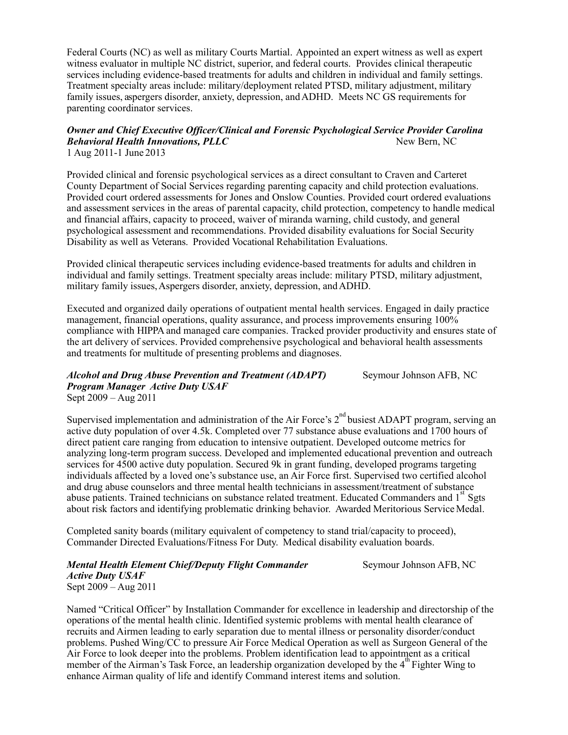Federal Courts (NC) as well as military Courts Martial. Appointed an expert witness as well as expert witness evaluator in multiple NC district, superior, and federal courts. Provides clinical therapeutic services including evidence-based treatments for adults and children in individual and family settings. Treatment specialty areas include: military/deployment related PTSD, military adjustment, military family issues, aspergers disorder, anxiety, depression, andADHD. Meets NC GS requirements for parenting coordinator services.

#### *Owner and Chief Executive Officer/Clinical and Forensic Psychological Service Provider Carolina Behavioral Health Innovations, PLLC* And the set of the New Bern, NC 1 Aug 2011-1 June 2013

Provided clinical and forensic psychological services as a direct consultant to Craven and Carteret County Department of Social Services regarding parenting capacity and child protection evaluations. Provided court ordered assessments for Jones and Onslow Counties. Provided court ordered evaluations and assessment services in the areas of parental capacity, child protection, competency to handle medical and financial affairs, capacity to proceed, waiver of miranda warning, child custody, and general psychological assessment and recommendations. Provided disability evaluations for Social Security Disability as well as Veterans. Provided Vocational Rehabilitation Evaluations.

Provided clinical therapeutic services including evidence-based treatments for adults and children in individual and family settings. Treatment specialty areas include: military PTSD, military adjustment, military family issues, Aspergers disorder, anxiety, depression, and ADHD.

Executed and organized daily operations of outpatient mental health services. Engaged in daily practice management, financial operations, quality assurance, and process improvements ensuring 100% compliance with HIPPA and managed care companies. Tracked provider productivity and ensures state of the art delivery of services. Provided comprehensive psychological and behavioral health assessments and treatments for multitude of presenting problems and diagnoses.

*Alcohol and Drug Abuse Prevention and Treatment (ADAPT)* Seymour Johnson AFB, NC *Program Manager Active Duty USAF* Sept 2009 – Aug 2011

Supervised implementation and administration of the Air Force's  $2<sup>nd</sup>$  busiest ADAPT program, serving an active duty population of over 4.5k. Completed over 77 substance abuse evaluations and 1700 hours of direct patient care ranging from education to intensive outpatient. Developed outcome metrics for analyzing long-term program success. Developed and implemented educational prevention and outreach services for 4500 active duty population. Secured 9k in grant funding, developed programs targeting individuals affected by a loved one's substance use, an Air Force first. Supervised two certified alcohol and drug abuse counselors and three mental health technicians in assessment/treatment of substance abuse patients. Trained technicians on substance related treatment. Educated Commanders and 1<sup>st</sup> Sgts about risk factors and identifying problematic drinking behavior. Awarded Meritorious Service Medal.

Completed sanity boards (military equivalent of competency to stand trial/capacity to proceed), Commander Directed Evaluations/Fitness For Duty. Medical disability evaluation boards.

#### *Mental Health Element Chief/Deputy Flight Commander* Seymour Johnson AFB, NC *Active Duty USAF* Sept 2009 – Aug 2011

Named "Critical Officer" by Installation Commander for excellence in leadership and directorship of the operations of the mental health clinic. Identified systemic problems with mental health clearance of recruits and Airmen leading to early separation due to mental illness or personality disorder/conduct problems. Pushed Wing/CC to pressure Air Force Medical Operation as well as Surgeon General of the Air Force to look deeper into the problems. Problem identification lead to appointment as a critical member of the Airman's Task Force, an leadership organization developed by the 4<sup>th</sup> Fighter Wing to enhance Airman quality of life and identify Command interest items and solution.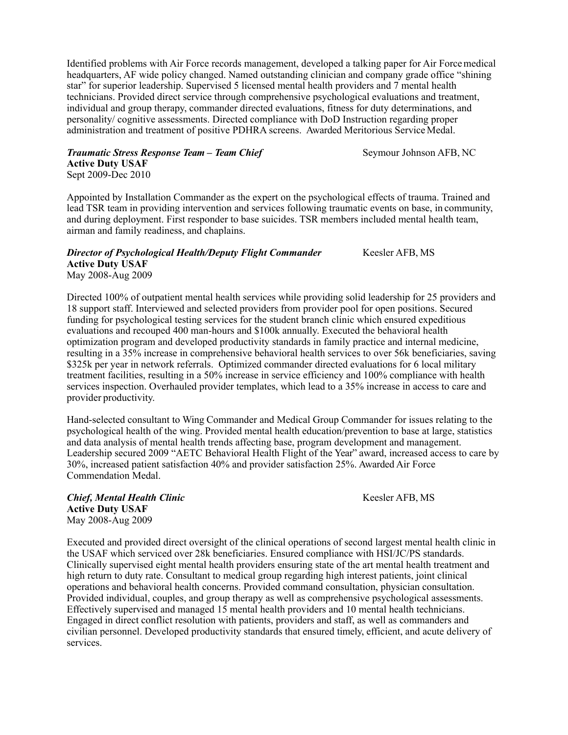Identified problems with Air Force records management, developed a talking paper for Air Forcemedical headquarters, AF wide policy changed. Named outstanding clinician and company grade office "shining star" for superior leadership. Supervised 5 licensed mental health providers and 7 mental health technicians. Provided direct service through comprehensive psychological evaluations and treatment, individual and group therapy, commander directed evaluations, fitness for duty determinations, and personality/ cognitive assessments. Directed compliance with DoD Instruction regarding proper administration and treatment of positive PDHRA screens. Awarded Meritorious Service Medal.

*Traumatic Stress Response Team – Team Chief* Seymour Johnson AFB, NC **Active Duty USAF** Sept 2009-Dec 2010

Appointed by Installation Commander as the expert on the psychological effects of trauma. Trained and lead TSR team in providing intervention and services following traumatic events on base, in community, and during deployment. First responder to base suicides. TSR members included mental health team, airman and family readiness, and chaplains.

## *Director of Psychological Health/Deputy Flight Commander* Keesler AFB, MS **Active Duty USAF** May 2008-Aug 2009

Directed 100% of outpatient mental health services while providing solid leadership for 25 providers and 18 support staff. Interviewed and selected providers from provider pool for open positions. Secured funding for psychological testing services for the student branch clinic which ensured expeditious evaluations and recouped 400 man-hours and \$100k annually. Executed the behavioral health optimization program and developed productivity standards in family practice and internal medicine, resulting in a 35% increase in comprehensive behavioral health services to over 56k beneficiaries, saving \$325k per year in network referrals. Optimized commander directed evaluations for 6 local military treatment facilities, resulting in a 50% increase in service efficiency and 100% compliance with health services inspection. Overhauled provider templates, which lead to a 35% increase in access to care and provider productivity.

Hand-selected consultant to Wing Commander and Medical Group Commander for issues relating to the psychological health of the wing. Provided mental health education/prevention to base at large, statistics and data analysis of mental health trends affecting base, program development and management. Leadership secured 2009 "AETC Behavioral Health Flight of the Year" award, increased access to care by 30%, increased patient satisfaction 40% and provider satisfaction 25%. Awarded Air Force Commendation Medal.

*Chief, Mental Health Clinic* **Chief, MS** *Chief, Mental Health Clinic Chief, MS* **Active Duty USAF** May 2008-Aug 2009

Executed and provided direct oversight of the clinical operations of second largest mental health clinic in the USAF which serviced over 28k beneficiaries. Ensured compliance with HSI/JC/PS standards. Clinically supervised eight mental health providers ensuring state of the art mental health treatment and high return to duty rate. Consultant to medical group regarding high interest patients, joint clinical operations and behavioral health concerns. Provided command consultation, physician consultation. Provided individual, couples, and group therapy as well as comprehensive psychological assessments. Effectively supervised and managed 15 mental health providers and 10 mental health technicians. Engaged in direct conflict resolution with patients, providers and staff, as well as commanders and civilian personnel. Developed productivity standards that ensured timely, efficient, and acute delivery of services.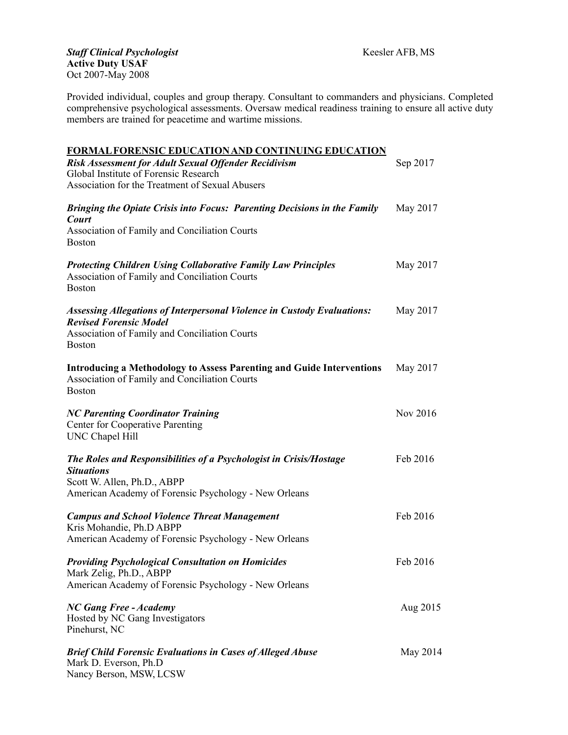Provided individual, couples and group therapy. Consultant to commanders and physicians. Completed comprehensive psychological assessments. Oversaw medical readiness training to ensure all active duty members are trained for peacetime and wartime missions.

| <b>FORMAL FORENSIC EDUCATION AND CONTINUING EDUCATION</b>                                                                                                                         |          |
|-----------------------------------------------------------------------------------------------------------------------------------------------------------------------------------|----------|
| <b>Risk Assessment for Adult Sexual Offender Recidivism</b>                                                                                                                       | Sep 2017 |
| Global Institute of Forensic Research                                                                                                                                             |          |
| Association for the Treatment of Sexual Abusers                                                                                                                                   |          |
| Bringing the Opiate Crisis into Focus: Parenting Decisions in the Family<br>Court                                                                                                 | May 2017 |
| Association of Family and Conciliation Courts<br><b>Boston</b>                                                                                                                    |          |
| <b>Protecting Children Using Collaborative Family Law Principles</b><br>Association of Family and Conciliation Courts<br><b>Boston</b>                                            | May 2017 |
| <b>Assessing Allegations of Interpersonal Violence in Custody Evaluations:</b><br><b>Revised Forensic Model</b><br>Association of Family and Conciliation Courts<br><b>Boston</b> | May 2017 |
| <b>Introducing a Methodology to Assess Parenting and Guide Interventions</b><br>Association of Family and Conciliation Courts<br><b>Boston</b>                                    | May 2017 |
| <b>NC Parenting Coordinator Training</b><br>Center for Cooperative Parenting<br>UNC Chapel Hill                                                                                   | Nov 2016 |
| The Roles and Responsibilities of a Psychologist in Crisis/Hostage<br><b>Situations</b><br>Scott W. Allen, Ph.D., ABPP<br>American Academy of Forensic Psychology - New Orleans   | Feb 2016 |
| <b>Campus and School Violence Threat Management</b><br>Kris Mohandie, Ph.D ABPP<br>American Academy of Forensic Psychology - New Orleans                                          | Feb 2016 |
| <b>Providing Psychological Consultation on Homicides</b><br>Mark Zelig, Ph.D., ABPP<br>American Academy of Forensic Psychology - New Orleans                                      | Feb 2016 |
| <b>NC Gang Free - Academy</b><br>Hosted by NC Gang Investigators<br>Pinehurst, NC                                                                                                 | Aug 2015 |
| <b>Brief Child Forensic Evaluations in Cases of Alleged Abuse</b><br>Mark D. Everson, Ph.D<br>Nancy Berson, MSW, LCSW                                                             | May 2014 |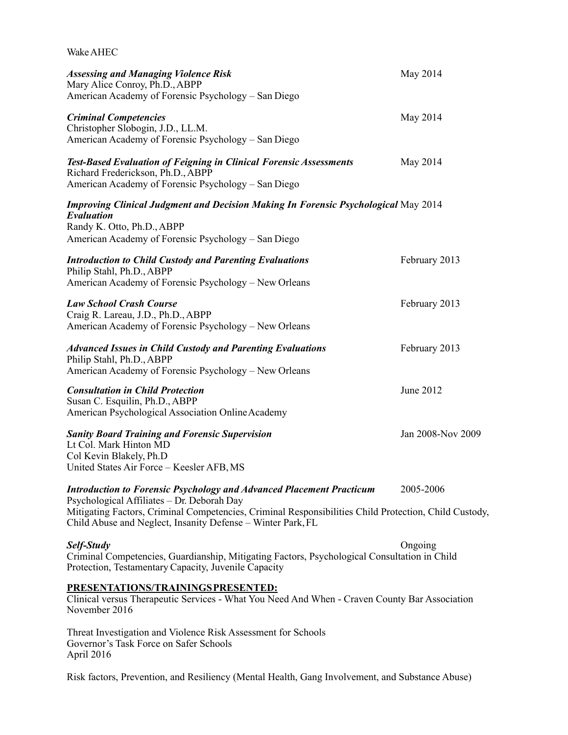| Wake AHEC                                                                                                                                                                                                                                                                                         |                   |
|---------------------------------------------------------------------------------------------------------------------------------------------------------------------------------------------------------------------------------------------------------------------------------------------------|-------------------|
| <b>Assessing and Managing Violence Risk</b><br>Mary Alice Conroy, Ph.D., ABPP<br>American Academy of Forensic Psychology - San Diego                                                                                                                                                              | May 2014          |
| <b>Criminal Competencies</b><br>Christopher Slobogin, J.D., LL.M.<br>American Academy of Forensic Psychology - San Diego                                                                                                                                                                          | May 2014          |
| <b>Test-Based Evaluation of Feigning in Clinical Forensic Assessments</b><br>Richard Frederickson, Ph.D., ABPP<br>American Academy of Forensic Psychology - San Diego                                                                                                                             | May 2014          |
| <b>Improving Clinical Judgment and Decision Making In Forensic Psychological May 2014</b><br>Evaluation<br>Randy K. Otto, Ph.D., ABPP<br>American Academy of Forensic Psychology - San Diego                                                                                                      |                   |
| <b>Introduction to Child Custody and Parenting Evaluations</b><br>Philip Stahl, Ph.D., ABPP<br>American Academy of Forensic Psychology - New Orleans                                                                                                                                              | February 2013     |
| <b>Law School Crash Course</b><br>Craig R. Lareau, J.D., Ph.D., ABPP<br>American Academy of Forensic Psychology - New Orleans                                                                                                                                                                     | February 2013     |
| <b>Advanced Issues in Child Custody and Parenting Evaluations</b><br>Philip Stahl, Ph.D., ABPP<br>American Academy of Forensic Psychology - New Orleans                                                                                                                                           | February 2013     |
| <b>Consultation in Child Protection</b><br>Susan C. Esquilin, Ph.D., ABPP<br>American Psychological Association Online Academy                                                                                                                                                                    | June 2012         |
| <b>Sanity Board Training and Forensic Supervision</b><br>Lt Col. Mark Hinton MD<br>Col Kevin Blakely, Ph.D<br>United States Air Force - Keesler AFB, MS                                                                                                                                           | Jan 2008-Nov 2009 |
| <b>Introduction to Forensic Psychology and Advanced Placement Practicum</b><br>Psychological Affiliates - Dr. Deborah Day<br>Mitigating Factors, Criminal Competencies, Criminal Responsibilities Child Protection, Child Custody,<br>Child Abuse and Neglect, Insanity Defense - Winter Park, FL | 2005-2006         |
| Self-Study<br>Criminal Competencies, Guardianship, Mitigating Factors, Psychological Consultation in Child<br>Protection, Testamentary Capacity, Juvenile Capacity                                                                                                                                | Ongoing           |
| PRESENTATIONS/TRAININGS PRESENTED:<br>Clinical versus Therapeutic Services - What You Need And When - Craven County Bar Association<br>November 2016                                                                                                                                              |                   |
| Threat Investigation and Violence Risk Assessment for Schools<br>Governor's Task Force on Safer Schools                                                                                                                                                                                           |                   |

April 2016

Risk factors, Prevention, and Resiliency (Mental Health, Gang Involvement, and Substance Abuse)